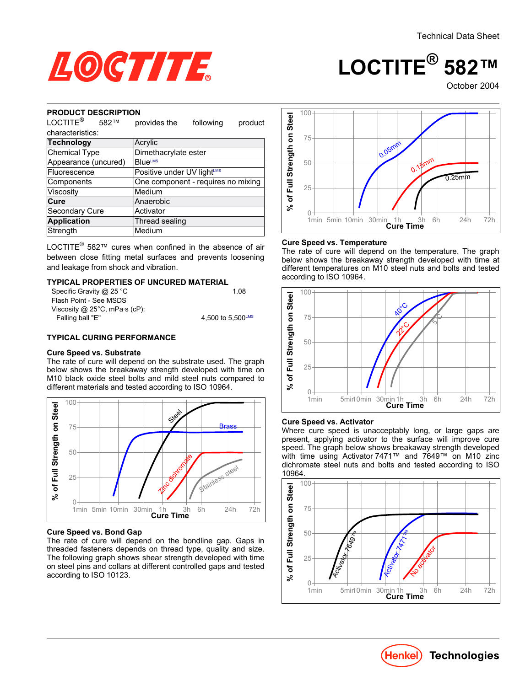

## **LOCTITE® 582™**

October 2004

#### **PRODUCT DESCRIPTION**

| LOCTITE <sup>®</sup><br>582™ | provides the<br>following<br>product |
|------------------------------|--------------------------------------|
| characteristics:             |                                      |
| Technology                   | Acrylic                              |
| <b>Chemical Type</b>         | Dimethacrylate ester                 |
| Appearance (uncured)         | <b>BlueLMS</b>                       |
| Fluorescence                 | Positive under UV lightLMS           |
| Components                   | One component - requires no mixing   |
| Viscosity                    | Medium                               |
| Cure                         | Anaerobic                            |
| <b>Secondary Cure</b>        | Activator                            |
| <b>Application</b>           | Thread sealing                       |
| Strength                     | Medium                               |

LOCTITE® 582™ cures when confined in the absence of air between close fitting metal surfaces and prevents loosening and leakage from shock and vibration.

#### **TYPICAL PROPERTIES OF UNCURED MATERIAL**

| 1.08              |
|-------------------|
|                   |
|                   |
| 4.500 to 5.500LMS |
|                   |

#### **TYPICAL CURING PERFORMANCE**

#### **Cure Speed vs. Substrate**

The rate of cure will depend on the substrate used. The graph below shows the breakaway strength developed with time on M10 black oxide steel bolts and mild steel nuts compared to different materials and tested according to ISO 10964.



#### **Cure Speed vs. Bond Gap**

The rate of cure will depend on the bondline gap. Gaps in threaded fasteners depends on thread type, quality and size. The following graph shows shear strength developed with time on steel pins and collars at different controlled gaps and tested according to ISO 10123.



#### **Cure Speed vs. Temperature**

The rate of cure will depend on the temperature. The graph below shows the breakaway strength developed with time at different temperatures on M10 steel nuts and bolts and tested according to ISO 10964.



#### **Cure Speed vs. Activator**

Where cure speed is unacceptably long, or large gaps are present, applying activator to the surface will improve cure speed. The graph below shows breakaway strength developed with time using Activator 7471™ and 7649™ on M10 zinc dichromate steel nuts and bolts and tested according to ISO 10964.



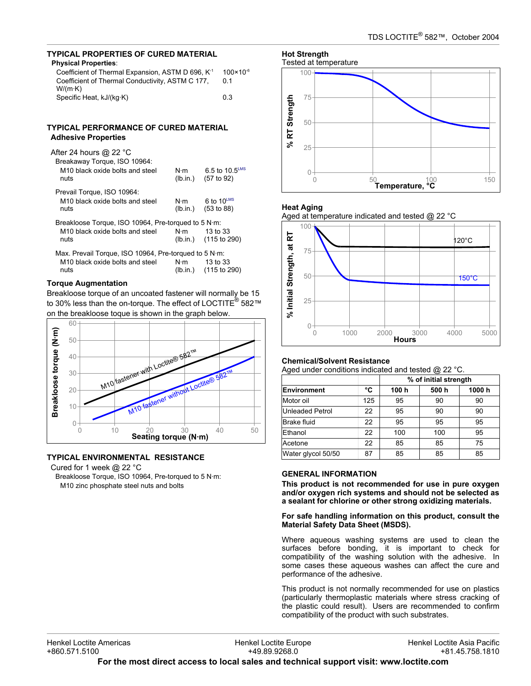## **TYPICAL PROPERTIES OF CURED MATERIAL**

| <b>Physical Properties:</b>                                   |                      |
|---------------------------------------------------------------|----------------------|
| Coefficient of Thermal Expansion, ASTM D 696, K <sup>-1</sup> | $100 \times 10^{-6}$ |
| Coefficient of Thermal Conductivity, ASTM C 177,              | 0 1                  |
| $W/(m \cdot K)$                                               |                      |
| Specific Heat, kJ/(kg·K)                                      | 0.3                  |

#### **TYPICAL PERFORMANCE OF CURED MATERIAL Adhesive Properties**

| Breakaway Torque, ISO 10964:<br>M <sub>10</sub> black oxide bolts and steel<br>nuts                        | N·m<br>(lb.in.) | 6.5 to $10.5^{\text{LMS}}$<br>(57 to 92) |
|------------------------------------------------------------------------------------------------------------|-----------------|------------------------------------------|
| Prevail Torque, ISO 10964:<br>M <sub>10</sub> black oxide bolts and steel<br>nuts                          | N·m<br>(lb.in.) | $6$ to $10^{\text{LMS}}$<br>(53 to 88)   |
| Breakloose Torque, ISO 10964, Pre-torqued to 5 N·m:<br>M <sub>10</sub> black oxide bolts and steel<br>nuts | $N \cdot m$     | 13 to 33<br>(lb.in.) (115 to 290)        |

| Max. Prevail Torque, ISO 10964, Pre-torqued to 5 N·m: |     |                       |  |  |  |
|-------------------------------------------------------|-----|-----------------------|--|--|--|
| M <sub>10</sub> black oxide bolts and steel           | N⋅m | 13 to 33              |  |  |  |
| nuts                                                  |     | (Ib.in.) (115 to 290) |  |  |  |

## **Torque Augmentation**

Breakloose torque of an uncoated fastener will normally be 15 to 30% less than the on-torque. The effect of LOCTITE® 582™ on the breakloose toque is shown in the graph below.



## **TYPICAL ENVIRONMENTAL RESISTANCE**

Cured for 1 week @ 22 °C

Breakloose Torque, ISO 10964, Pre-torqued to 5 N·m: M10 zinc phosphate steel nuts and bolts

#### **Hot Strength** Tested at temperature



## **Heat Aging**

Aged at temperature indicated and tested @ 22 °C



#### **Chemical/Solvent Resistance**

Aged under conditions indicated and tested @ 22 °C.

|                    |     | % of initial strength |       |       |
|--------------------|-----|-----------------------|-------|-------|
| Environment        | °C  | 100 h                 | 500 h | 1000h |
| Motor oil          | 125 | 95                    | 90    | 90    |
| Unleaded Petrol    | 22  | 95                    | 90    | 90    |
| <b>Brake fluid</b> | 22  | 95                    | 95    | 95    |
| Ethanol            | 22  | 100                   | 100   | 95    |
| Acetone            | 22  | 85                    | 85    | 75    |
| Water glycol 50/50 | 87  | 85                    | 85    | 85    |

#### **GENERAL INFORMATION**

**This product is not recommended for use in pure oxygen and/or oxygen rich systems and should not be selected as a sealant for chlorine or other strong oxidizing materials.**

**For safe handling information on this product, consult the Material Safety Data Sheet (MSDS).**

Where aqueous washing systems are used to clean the surfaces before bonding, it is important to check for compatibility of the washing solution with the adhesive. In some cases these aqueous washes can affect the cure and performance of the adhesive.

This product is not normally recommended for use on plastics (particularly thermoplastic materials where stress cracking of the plastic could result). Users are recommended to confirm compatibility of the product with such substrates.